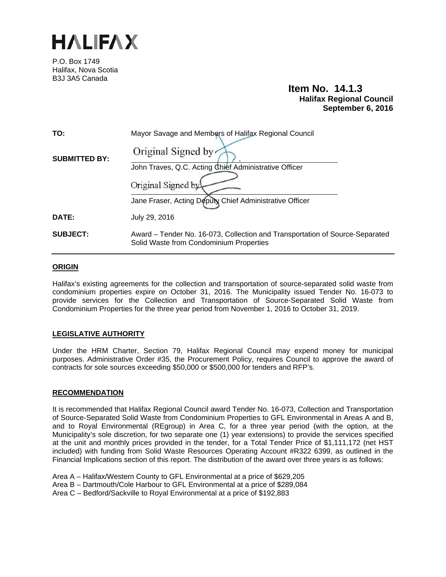

P.O. Box 1749 Halifax, Nova Scotia B3J 3A5 Canada

# **Item No. 14.1.3 Halifax Regional Council September 6, 2016**

| TO:                  | Mayor Savage and Members of Halifax Regional Council                                                                    |  |
|----------------------|-------------------------------------------------------------------------------------------------------------------------|--|
| <b>SUBMITTED BY:</b> | Original Signed by                                                                                                      |  |
|                      | John Traves, Q.C. Acting Chief Administrative Officer                                                                   |  |
|                      | Original Signed by                                                                                                      |  |
|                      | Jane Fraser, Acting Deputy Chief Administrative Officer                                                                 |  |
| DATE:                | July 29, 2016                                                                                                           |  |
| <b>SUBJECT:</b>      | Award – Tender No. 16-073, Collection and Transportation of Source-Separated<br>Solid Waste from Condominium Properties |  |

# **ORIGIN**

Halifax's existing agreements for the collection and transportation of source-separated solid waste from condominium properties expire on October 31, 2016. The Municipality issued Tender No. 16-073 to provide services for the Collection and Transportation of Source-Separated Solid Waste from Condominium Properties for the three year period from November 1, 2016 to October 31, 2019.

# **LEGISLATIVE AUTHORITY**

Under the HRM Charter, Section 79, Halifax Regional Council may expend money for municipal purposes. Administrative Order #35, the Procurement Policy, requires Council to approve the award of contracts for sole sources exceeding \$50,000 or \$500,000 for tenders and RFP's.

### **RECOMMENDATION**

It is recommended that Halifax Regional Council award Tender No. 16-073, Collection and Transportation of Source-Separated Solid Waste from Condominium Properties to GFL Environmental in Areas A and B, and to Royal Environmental (REgroup) in Area C, for a three year period (with the option, at the Municipality's sole discretion, for two separate one (1) year extensions) to provide the services specified at the unit and monthly prices provided in the tender, for a Total Tender Price of \$1,111,172 (net HST included) with funding from Solid Waste Resources Operating Account #R322 6399, as outlined in the Financial Implications section of this report. The distribution of the award over three years is as follows:

Area A – Halifax/Western County to GFL Environmental at a price of \$629,205

Area B – Dartmouth/Cole Harbour to GFL Environmental at a price of \$289,084

Area C – Bedford/Sackville to Royal Environmental at a price of \$192,883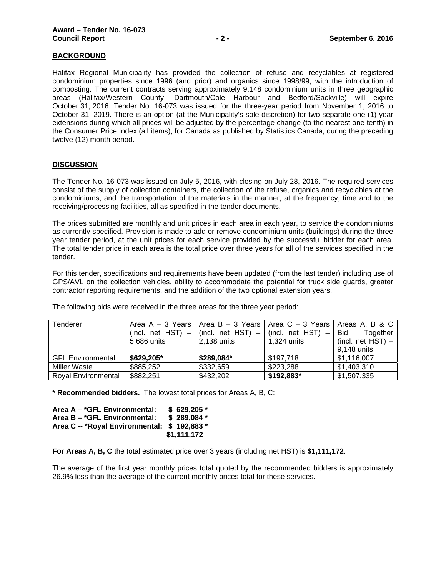### **BACKGROUND**

Halifax Regional Municipality has provided the collection of refuse and recyclables at registered condominium properties since 1996 (and prior) and organics since 1998/99, with the introduction of composting. The current contracts serving approximately 9,148 condominium units in three geographic areas (Halifax/Western County, Dartmouth/Cole Harbour and Bedford/Sackville) will expire October 31, 2016. Tender No. 16-073 was issued for the three-year period from November 1, 2016 to October 31, 2019. There is an option (at the Municipality's sole discretion) for two separate one (1) year extensions during which all prices will be adjusted by the percentage change (to the nearest one tenth) in the Consumer Price Index (all items), for Canada as published by Statistics Canada, during the preceding twelve (12) month period.

### **DISCUSSION**

The Tender No. 16-073 was issued on July 5, 2016, with closing on July 28, 2016. The required services consist of the supply of collection containers, the collection of the refuse, organics and recyclables at the condominiums, and the transportation of the materials in the manner, at the frequency, time and to the receiving/processing facilities, all as specified in the tender documents.

The prices submitted are monthly and unit prices in each area in each year, to service the condominiums as currently specified. Provision is made to add or remove condominium units (buildings) during the three year tender period, at the unit prices for each service provided by the successful bidder for each area. The total tender price in each area is the total price over three years for all of the services specified in the tender.

For this tender, specifications and requirements have been updated (from the last tender) including use of GPS/AVL on the collection vehicles, ability to accommodate the potential for truck side guards, greater contractor reporting requirements, and the addition of the two optional extension years.

| <b>Tenderer</b>            | 5,686 units | 2,138 units | Area A – 3 Years   Area B – 3 Years   Area C – 3 Years  <br>(incl. net HST) $-$   (incl. net HST) $-$   (incl. net HST) $-$   Bid<br>1,324 units | Areas A. B & C<br>Together<br>(incl. net $HST$ ) –<br>9.148 units |
|----------------------------|-------------|-------------|--------------------------------------------------------------------------------------------------------------------------------------------------|-------------------------------------------------------------------|
| <b>GFL Environmental</b>   | \$629,205*  | \$289,084*  | \$197,718                                                                                                                                        | \$1,116,007                                                       |
| Miller Waste               | \$885,252   | \$332,659   | \$223,288                                                                                                                                        | \$1,403,310                                                       |
| <b>Royal Environmental</b> | \$882,251   | \$432,202   | \$192,883*                                                                                                                                       | \$1,507,335                                                       |

The following bids were received in the three areas for the three year period:

**\* Recommended bidders.** The lowest total prices for Areas A, B, C:

| Area A - *GFL Environmental:                | \$629,205   |
|---------------------------------------------|-------------|
| Area B - *GFL Environmental:                | $$289.084*$ |
| Area C -- *Royal Environmental: \$192,883 * |             |
|                                             | \$1,111,172 |

**For Areas A, B, C** the total estimated price over 3 years (including net HST) is **\$1,111,172**.

The average of the first year monthly prices total quoted by the recommended bidders is approximately 26.9% less than the average of the current monthly prices total for these services.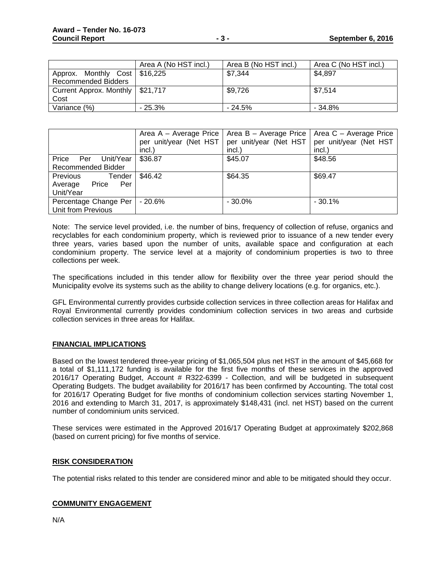|                                    | Area A (No HST incl.) | Area B (No HST incl.) | Area C (No HST incl.) |
|------------------------------------|-----------------------|-----------------------|-----------------------|
| Approx. Monthly Cost   \$16,225    |                       | \$7,344               | \$4,897               |
| Recommended Bidders                |                       |                       |                       |
| Current Approx. Monthly   \$21,717 |                       | \$9,726               | \$7,514               |
| Cost                               |                       |                       |                       |
| Variance (%)                       | $-25.3\%$             | $-24.5%$              | $-34.8%$              |

|                                                                   | incl.)  | Area A - Average Price   Area B - Average Price  <br>per unit/year (Net HST   per unit/year (Net HST<br>incl.) | Area C - Average Price<br>per unit/year (Net HST<br>incl.) |
|-------------------------------------------------------------------|---------|----------------------------------------------------------------------------------------------------------------|------------------------------------------------------------|
| Price<br>Unit/Year<br>Per<br>Recommended Bidder                   | \$36.87 | \$45.07                                                                                                        | \$48.56                                                    |
| <b>Previous</b><br>Tender<br>Price<br>Average<br>Per<br>Unit/Year | \$46.42 | \$64.35                                                                                                        | \$69.47                                                    |
| Percentage Change Per<br>Unit from Previous                       | - 20.6% | $-30.0\%$                                                                                                      | $-30.1%$                                                   |

Note: The service level provided, i.e. the number of bins, frequency of collection of refuse, organics and recyclables for each condominium property, which is reviewed prior to issuance of a new tender every three years, varies based upon the number of units, available space and configuration at each condominium property. The service level at a majority of condominium properties is two to three collections per week.

The specifications included in this tender allow for flexibility over the three year period should the Municipality evolve its systems such as the ability to change delivery locations (e.g. for organics, etc.).

GFL Environmental currently provides curbside collection services in three collection areas for Halifax and Royal Environmental currently provides condominium collection services in two areas and curbside collection services in three areas for Halifax.

# **FINANCIAL IMPLICATIONS**

Based on the lowest tendered three-year pricing of \$1,065,504 plus net HST in the amount of \$45,668 for a total of \$1,111,172 funding is available for the first five months of these services in the approved 2016/17 Operating Budget, Account # R322-6399 - Collection, and will be budgeted in subsequent Operating Budgets. The budget availability for 2016/17 has been confirmed by Accounting. The total cost for 2016/17 Operating Budget for five months of condominium collection services starting November 1, 2016 and extending to March 31, 2017, is approximately \$148,431 (incl. net HST) based on the current number of condominium units serviced.

These services were estimated in the Approved 2016/17 Operating Budget at approximately \$202,868 (based on current pricing) for five months of service.

### **RISK CONSIDERATION**

The potential risks related to this tender are considered minor and able to be mitigated should they occur.

# **COMMUNITY ENGAGEMENT**

N/A